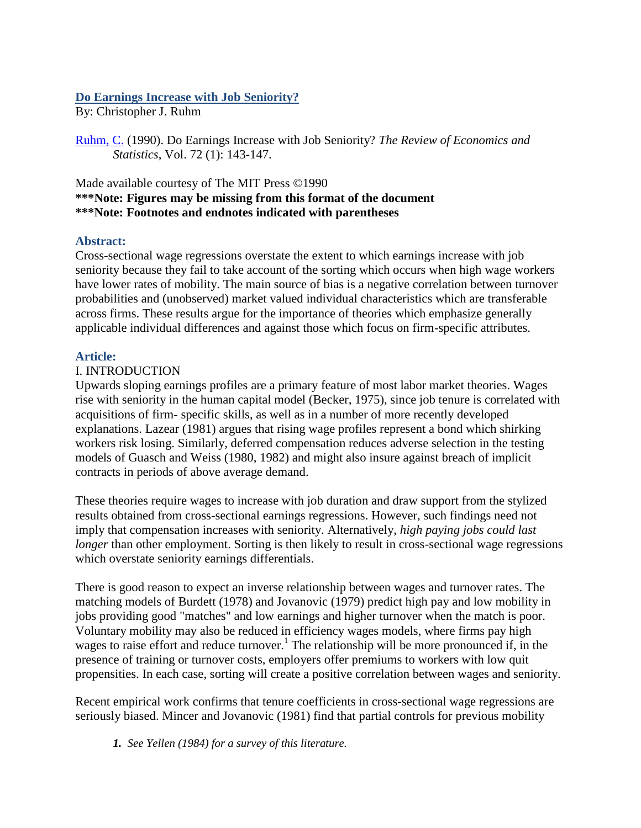# **Do Earnings Increase with Job Seniority?**

By: Christopher J. Ruhm

[Ruhm, C.](http://libres.uncg.edu/ir/clist.aspx?id=810) (1990). Do Earnings Increase with Job Seniority? *The Review of Economics and Statistics*, Vol. 72 (1): 143-147.

## Made available courtesy of The MIT Press ©1990 **\*\*\*Note: Figures may be missing from this format of the document \*\*\*Note: Footnotes and endnotes indicated with parentheses**

# **Abstract:**

Cross-sectional wage regressions overstate the extent to which earnings increase with job seniority because they fail to take account of the sorting which occurs when high wage workers have lower rates of mobility. The main source of bias is a negative correlation between turnover probabilities and (unobserved) market valued individual characteristics which are transferable across firms. These results argue for the importance of theories which emphasize generally applicable individual differences and against those which focus on firm-specific attributes.

## **Article:**

## I. INTRODUCTION

Upwards sloping earnings profiles are a primary feature of most labor market theories. Wages rise with seniority in the human capital model (Becker, 1975), since job tenure is correlated with acquisitions of firm- specific skills, as well as in a number of more recently developed explanations. Lazear (1981) argues that rising wage profiles represent a bond which shirking workers risk losing. Similarly, deferred compensation reduces adverse selection in the testing models of Guasch and Weiss (1980, 1982) and might also insure against breach of implicit contracts in periods of above average demand.

These theories require wages to increase with job duration and draw support from the stylized results obtained from cross-sectional earnings regressions. However, such findings need not imply that compensation increases with seniority. Alternatively, *high paying jobs could last longer* than other employment. Sorting is then likely to result in cross-sectional wage regressions which overstate seniority earnings differentials.

There is good reason to expect an inverse relationship between wages and turnover rates. The matching models of Burdett (1978) and Jovanovic (1979) predict high pay and low mobility in jobs providing good "matches" and low earnings and higher turnover when the match is poor. Voluntary mobility may also be reduced in efficiency wages models, where firms pay high wages to raise effort and reduce turnover.<sup>1</sup> The relationship will be more pronounced if, in the presence of training or turnover costs, employers offer premiums to workers with low quit propensities. In each case, sorting will create a positive correlation between wages and seniority.

Recent empirical work confirms that tenure coefficients in cross-sectional wage regressions are seriously biased. Mincer and Jovanovic (1981) find that partial controls for previous mobility

*1. See Yellen (1984) for a survey of this literature.*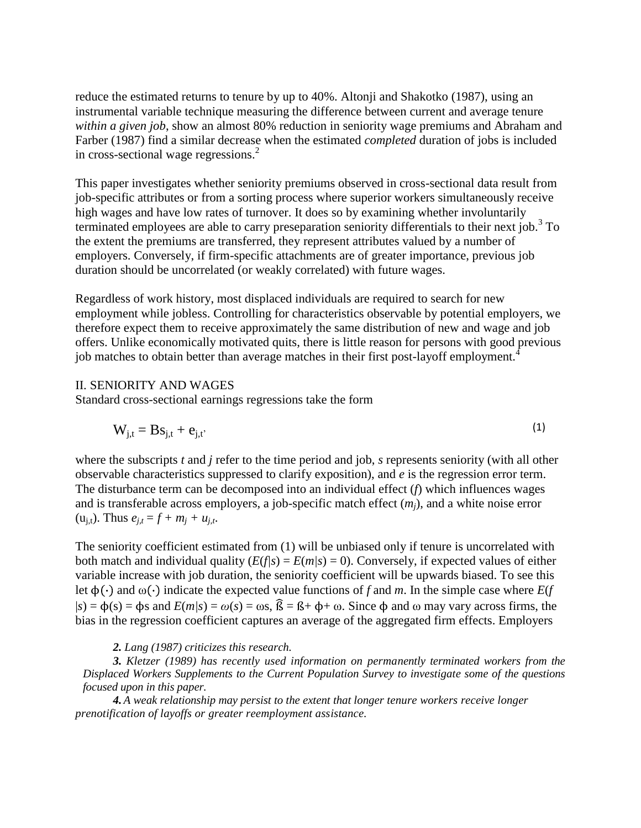reduce the estimated returns to tenure by up to 40%. Altonji and Shakotko (1987), using an instrumental variable technique measuring the difference between current and average tenure *within a given job*, show an almost 80% reduction in seniority wage premiums and Abraham and Farber (1987) find a similar decrease when the estimated *completed* duration of jobs is included in cross-sectional wage regressions. $<sup>2</sup>$ </sup>

This paper investigates whether seniority premiums observed in cross-sectional data result from job-specific attributes or from a sorting process where superior workers simultaneously receive high wages and have low rates of turnover. It does so by examining whether involuntarily terminated employees are able to carry preseparation seniority differentials to their next job.<sup>3</sup> To the extent the premiums are transferred, they represent attributes valued by a number of employers. Conversely, if firm-specific attachments are of greater importance, previous job duration should be uncorrelated (or weakly correlated) with future wages.

Regardless of work history, most displaced individuals are required to search for new employment while jobless. Controlling for characteristics observable by potential employers, we therefore expect them to receive approximately the same distribution of new and wage and job offers. Unlike economically motivated quits, there is little reason for persons with good previous job matches to obtain better than average matches in their first post-layoff employment.<sup>4</sup>

### II. SENIORITY AND WAGES

Standard cross-sectional earnings regressions take the form

$$
W_{j,t} = Bs_{j,t} + e_{j,t'} \tag{1}
$$

where the subscripts *t* and *j* refer to the time period and job, *s* represents seniority (with all other observable characteristics suppressed to clarify exposition), and *e* is the regression error term. The disturbance term can be decomposed into an individual effect (*f*) which influences wages and is transferable across employers, a job-specific match effect (*mj*), and a white noise error  $(u_{j,t})$ . Thus  $e_{j,t} = f + m_j + u_{j,t}$ .

The seniority coefficient estimated from (1) will be unbiased only if tenure is uncorrelated with both match and individual quality  $(E(f|s) = E(m|s) = 0)$ . Conversely, if expected values of either variable increase with job duration, the seniority coefficient will be upwards biased. To see this let  $\phi(\cdot)$  and  $\omega(\cdot)$  indicate the expected value functions of *f* and *m*. In the simple case where *E*(*f*  $|s| = \phi(s) = \phi(s)$  and  $E(m|s) = \omega(s) = \omega(s)$ ,  $\hat{\beta} = \beta + \phi + \omega$ . Since  $\phi$  and  $\omega$  may vary across firms, the bias in the regression coefficient captures an average of the aggregated firm effects. Employers

#### *2. Lang (1987) criticizes this research.*

*3. Kletzer (1989) has recently used information on permanently terminated workers from the Displaced Workers Supplements to the Current Population Survey to investigate some of the questions focused upon in this paper.*

*4. A weak relationship may persist to the extent that longer tenure workers receive longer prenotification of layoffs or greater reemployment assistance.*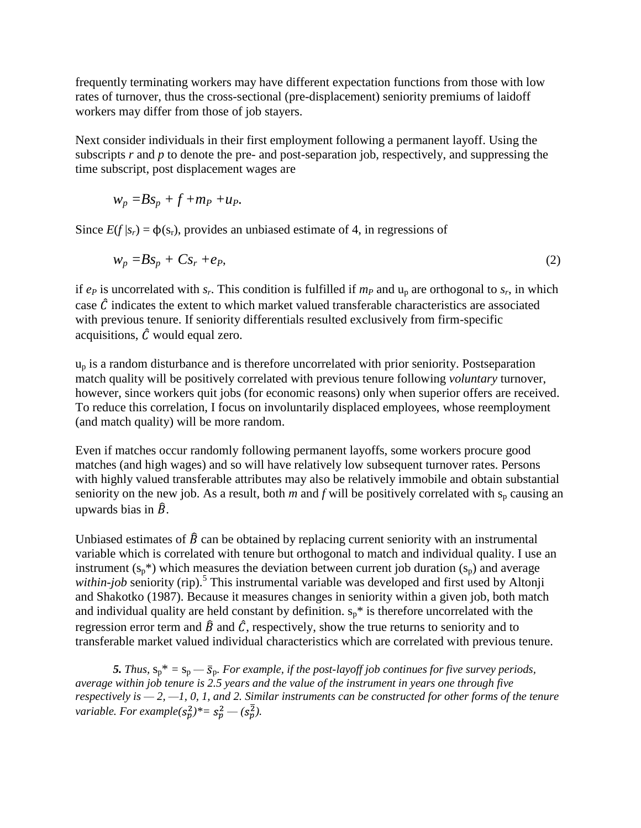frequently terminating workers may have different expectation functions from those with low rates of turnover, thus the cross-sectional (pre-displacement) seniority premiums of laidoff workers may differ from those of job stayers.

Next consider individuals in their first employment following a permanent layoff. Using the subscripts *r* and *p* to denote the pre- and post-separation job, respectively, and suppressing the time subscript, post displacement wages are

$$
w_p = Bs_p + f + m_P + u_P.
$$

Since  $E(f | s_r) = \phi(s_r)$ , provides an unbiased estimate of 4, in regressions of

$$
w_p = Bs_p + Cs_r + e_p,\tag{2}
$$

if  $e_p$  is uncorrelated with  $s_r$ . This condition is fulfilled if  $m_p$  and  $u_p$  are orthogonal to  $s_r$ , in which case  $\hat{C}$  indicates the extent to which market valued transferable characteristics are associated with previous tenure. If seniority differentials resulted exclusively from firm-specific acquisitions,  $\hat{C}$  would equal zero.

 $u_p$  is a random disturbance and is therefore uncorrelated with prior seniority. Postseparation match quality will be positively correlated with previous tenure following *voluntary* turnover, however, since workers quit jobs (for economic reasons) only when superior offers are received. To reduce this correlation, I focus on involuntarily displaced employees, whose reemployment (and match quality) will be more random.

Even if matches occur randomly following permanent layoffs, some workers procure good matches (and high wages) and so will have relatively low subsequent turnover rates. Persons with highly valued transferable attributes may also be relatively immobile and obtain substantial seniority on the new job. As a result, both  $m$  and  $f$  will be positively correlated with  $s_p$  causing an upwards bias in  $\hat{B}$ .

Unbiased estimates of  $\hat{B}$  can be obtained by replacing current seniority with an instrumental variable which is correlated with tenure but orthogonal to match and individual quality. I use an instrument  $(s_p^*)$  which measures the deviation between current job duration  $(s_p)$  and average within-job seniority (rip).<sup>5</sup> This instrumental variable was developed and first used by Altonji and Shakotko (1987). Because it measures changes in seniority within a given job, both match and individual quality are held constant by definition.  $s_p^*$  is therefore uncorrelated with the regression error term and  $\hat{B}$  and  $\hat{C}$ , respectively, show the true returns to seniority and to transferable market valued individual characteristics which are correlated with previous tenure.

**5.** *Thus,*  $s_p^* = s_p - \overline{s}_p$ . For example, if the post-layoff job continues for five survey periods, *average within job tenure is 2.5 years and the value of the instrument in years one through five respectively is — 2, —1, 0, 1, and 2. Similar instruments can be constructed for other forms of the tenure variable. For example* $(s_p^2)^* = s_p^2 - (s_p^2)$ .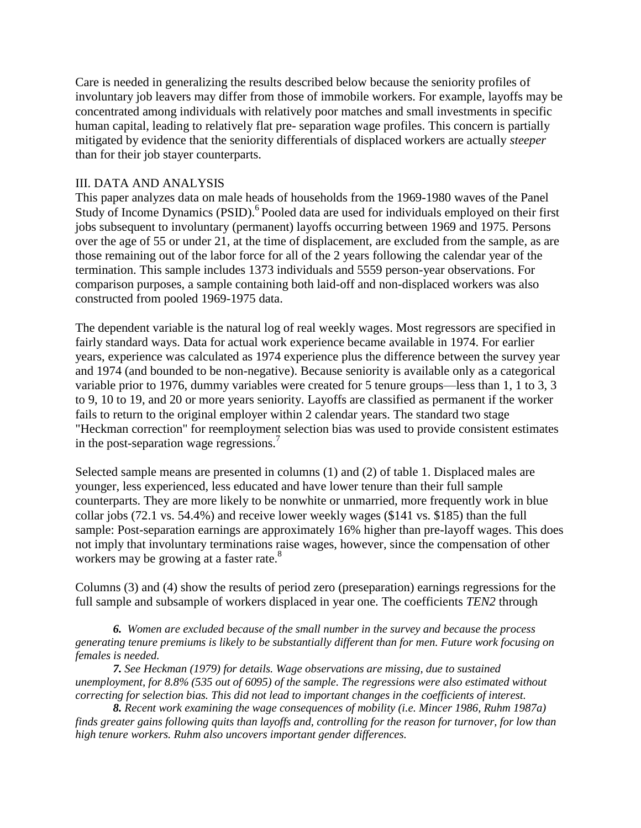Care is needed in generalizing the results described below because the seniority profiles of involuntary job leavers may differ from those of immobile workers. For example, layoffs may be concentrated among individuals with relatively poor matches and small investments in specific human capital, leading to relatively flat pre- separation wage profiles. This concern is partially mitigated by evidence that the seniority differentials of displaced workers are actually *steeper* than for their job stayer counterparts.

### III. DATA AND ANALYSIS

This paper analyzes data on male heads of households from the 1969-1980 waves of the Panel Study of Income Dynamics (PSID).<sup>6</sup> Pooled data are used for individuals employed on their first jobs subsequent to involuntary (permanent) layoffs occurring between 1969 and 1975. Persons over the age of 55 or under 21, at the time of displacement, are excluded from the sample, as are those remaining out of the labor force for all of the 2 years following the calendar year of the termination. This sample includes 1373 individuals and 5559 person-year observations. For comparison purposes, a sample containing both laid-off and non-displaced workers was also constructed from pooled 1969-1975 data.

The dependent variable is the natural log of real weekly wages. Most regressors are specified in fairly standard ways. Data for actual work experience became available in 1974. For earlier years, experience was calculated as 1974 experience plus the difference between the survey year and 1974 (and bounded to be non-negative). Because seniority is available only as a categorical variable prior to 1976, dummy variables were created for 5 tenure groups—less than 1, 1 to 3, 3 to 9, 10 to 19, and 20 or more years seniority. Layoffs are classified as permanent if the worker fails to return to the original employer within 2 calendar years. The standard two stage "Heckman correction" for reemployment selection bias was used to provide consistent estimates in the post-separation wage regressions.<sup>7</sup>

Selected sample means are presented in columns (1) and (2) of table 1. Displaced males are younger, less experienced, less educated and have lower tenure than their full sample counterparts. They are more likely to be nonwhite or unmarried, more frequently work in blue collar jobs (72.1 vs. 54.4%) and receive lower weekly wages (\$141 vs. \$185) than the full sample: Post-separation earnings are approximately 16% higher than pre-layoff wages. This does not imply that involuntary terminations raise wages, however, since the compensation of other workers may be growing at a faster rate.<sup>8</sup>

Columns (3) and (4) show the results of period zero (preseparation) earnings regressions for the full sample and subsample of workers displaced in year one. The coefficients *TEN2* through

*6. Women are excluded because of the small number in the survey and because the process generating tenure premiums is likely to be substantially different than for men. Future work focusing on females is needed.*

*7. See Heckman (1979) for details. Wage observations are missing, due to sustained unemployment, for 8.8% (535 out of 6095) of the sample. The regressions were also estimated without correcting for selection bias. This did not lead to important changes in the coefficients of interest.*

*8. Recent work examining the wage consequences of mobility (i.e. Mincer 1986, Ruhm 1987a) finds greater gains following quits than layoffs and, controlling for the reason for turnover, for low than high tenure workers. Ruhm also uncovers important gender differences.*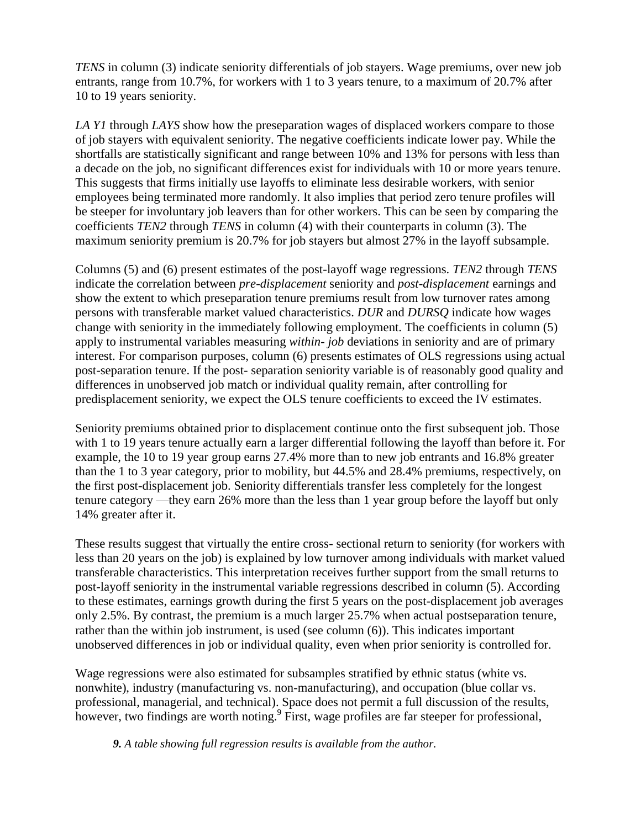*TENS* in column (3) indicate seniority differentials of job stayers. Wage premiums, over new job entrants, range from 10.7%, for workers with 1 to 3 years tenure, to a maximum of 20.7% after 10 to 19 years seniority.

*LA Y1* through *LAYS* show how the preseparation wages of displaced workers compare to those of job stayers with equivalent seniority. The negative coefficients indicate lower pay. While the shortfalls are statistically significant and range between 10% and 13% for persons with less than a decade on the job, no significant differences exist for individuals with 10 or more years tenure. This suggests that firms initially use layoffs to eliminate less desirable workers, with senior employees being terminated more randomly. It also implies that period zero tenure profiles will be steeper for involuntary job leavers than for other workers. This can be seen by comparing the coefficients *TEN2* through *TENS* in column (4) with their counterparts in column (3). The maximum seniority premium is 20.7% for job stayers but almost 27% in the layoff subsample.

Columns (5) and (6) present estimates of the post-layoff wage regressions. *TEN2* through *TENS* indicate the correlation between *pre-displacement* seniority and *post-displacement* earnings and show the extent to which preseparation tenure premiums result from low turnover rates among persons with transferable market valued characteristics. *DUR* and *DURSQ* indicate how wages change with seniority in the immediately following employment. The coefficients in column (5) apply to instrumental variables measuring *within- job* deviations in seniority and are of primary interest. For comparison purposes, column (6) presents estimates of OLS regressions using actual post-separation tenure. If the post- separation seniority variable is of reasonably good quality and differences in unobserved job match or individual quality remain, after controlling for predisplacement seniority, we expect the OLS tenure coefficients to exceed the IV estimates.

Seniority premiums obtained prior to displacement continue onto the first subsequent job. Those with 1 to 19 years tenure actually earn a larger differential following the layoff than before it. For example, the 10 to 19 year group earns 27.4% more than to new job entrants and 16.8% greater than the 1 to 3 year category, prior to mobility, but 44.5% and 28.4% premiums, respectively, on the first post-displacement job. Seniority differentials transfer less completely for the longest tenure category —they earn 26% more than the less than 1 year group before the layoff but only 14% greater after it.

These results suggest that virtually the entire cross- sectional return to seniority (for workers with less than 20 years on the job) is explained by low turnover among individuals with market valued transferable characteristics. This interpretation receives further support from the small returns to post-layoff seniority in the instrumental variable regressions described in column (5). According to these estimates, earnings growth during the first 5 years on the post-displacement job averages only 2.5%. By contrast, the premium is a much larger 25.7% when actual postseparation tenure, rather than the within job instrument, is used (see column (6)). This indicates important unobserved differences in job or individual quality, even when prior seniority is controlled for.

Wage regressions were also estimated for subsamples stratified by ethnic status (white vs. nonwhite), industry (manufacturing vs. non-manufacturing), and occupation (blue collar vs. professional, managerial, and technical). Space does not permit a full discussion of the results, however, two findings are worth noting. First, wage profiles are far steeper for professional,

*9. A table showing full regression results is available from the author.*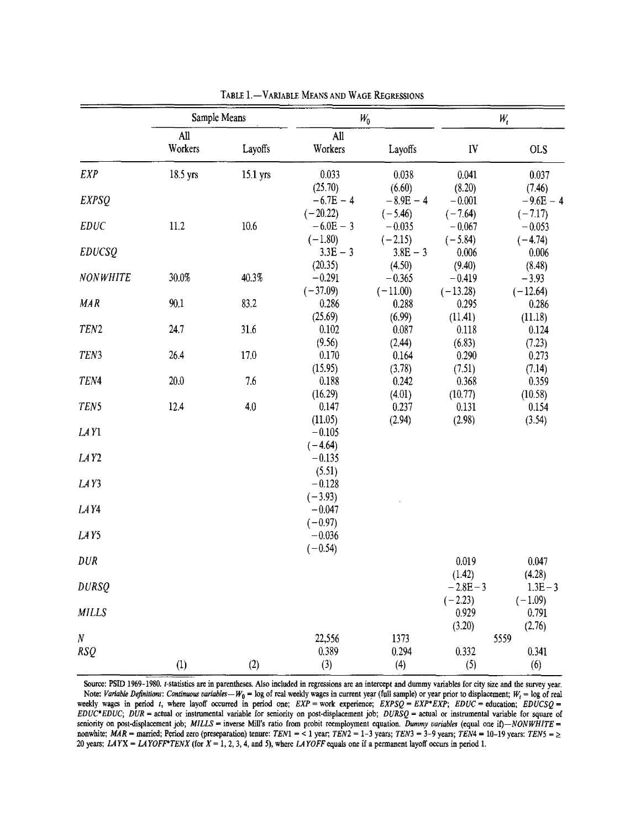|                              | Sample Means   |          | $W_0$               |                    | W,                 |                     |
|------------------------------|----------------|----------|---------------------|--------------------|--------------------|---------------------|
|                              | All<br>Workers | Layoffs  | All<br>Workers      | Layoffs            | IV                 | <b>OLS</b>          |
| <b>EXP</b>                   | 18.5 yrs       | 15.1 yrs | 0.033               | 0.038              | 0.041              | 0.037               |
| <b>EXPSQ</b>                 |                |          | (25.70)             | (6.60)             | (8.20)             | (7.46)              |
|                              |                |          | $-6.7E - 4$         | $-8.9E - 4$        | $-0.001$           | $-9.6E - 4$         |
|                              |                |          | $(-20.22)$          | $(-5.46)$          | $(-7.64)$          | $(-7.17)$           |
| <b>EDUC</b><br><b>EDUCSQ</b> | 11.2           | 10.6     | $-6.0E - 3$         | $-0.035$           | $-0.067$           | $-0.053$            |
|                              |                |          | $(-1.80)$           | $(-2.15)$          | $(-5.84)$          | $(-4.74)$           |
|                              |                |          | $3.3E - 3$          | $3.8E - 3$         | 0.006              | 0.006               |
| <b>NONWHITE</b>              | 30.0%          | 40.3%    | (20.35)<br>$-0.291$ | (4.50)<br>$-0.365$ | (9.40)<br>$-0.419$ | (8.48)<br>$-3.93$   |
|                              |                |          | $(-37.09)$          | $(-11.00)$         | $(-13.28)$         |                     |
| <b>MAR</b>                   | 90.1           | 83.2     | 0.286               | 0.288              | 0.295              | $(-12.64)$<br>0.286 |
|                              |                |          | (25.69)             | (6.99)             | (11.41)            | (11.18)             |
| TEN <sub>2</sub>             | 24.7           | 31.6     | 0.102               | 0.087              | 0.118              | 0.124               |
|                              |                |          | (9.56)              | (2.44)             | (6.83)             | (7.23)              |
| TEN3                         | 26.4           | 17.0     | 0.170               | 0.164              | 0.290              | 0.273               |
|                              |                |          | (15.95)             | (3.78)             | (7.51)             | (7.14)              |
| TEN4                         | 20.0           | 7.6      | 0.188               | 0.242              | 0.368              | 0.359               |
|                              |                |          | (16.29)             | (4.01)             | (10.77)            | (10.58)             |
| TEN5                         | 12.4           | 4.0      | 0.147               | 0.237              | 0.131              | 0.154               |
|                              |                |          | (11.05)             | (2.94)             | (2.98)             | (3.54)              |
| LAY1                         |                |          | $-0.105$            |                    |                    |                     |
|                              |                |          | $(-4.64)$           |                    |                    |                     |
| LAY <sub>2</sub>             |                |          | $-0.135$            |                    |                    |                     |
|                              |                |          | (5.51)              |                    |                    |                     |
| LAY3                         |                |          | $-0.128$            |                    |                    |                     |
|                              |                |          | $(-3.93)$           |                    |                    |                     |
| LAY4                         |                |          | $-0.047$            |                    |                    |                     |
|                              |                |          | $(-0.97)$           |                    |                    |                     |
| LAY5                         |                |          | $-0.036$            |                    |                    |                     |
|                              |                |          | $(-0.54)$           |                    |                    |                     |
| <b>DUR</b><br><b>DURSQ</b>   |                |          |                     |                    | 0.019              | 0.047               |
|                              |                |          |                     |                    | (1.42)             | (4.28)              |
|                              |                |          |                     |                    | $-2.8E-3$          | $1.3E - 3$          |
| <b>MILLS</b>                 |                |          |                     |                    | $(-2.23)$          | $(-1.09)$           |
|                              |                |          |                     |                    | 0.929              | 0.791               |
|                              |                |          |                     |                    | (3.20)             | (2.76)              |
| N                            |                |          | 22,556              | 1373               |                    | 5559                |
| <b>RSQ</b>                   |                |          | 0.389               | 0.294              | 0.332              | 0.341               |
|                              | (1)            | (2)      | (3)                 | (4)                | (5)                | (6)                 |

TABLE 1.-VARIABLE MEANS AND WAGE REGRESSIONS

Source: PSID 1969-1980. t-statistics are in parentheses. Also included in regressions are an intercept and dummy variables for city size and the survey year. Note: Variable Definitions: Continuous variables -  $W_0$  = log of real weekly wages in current year (full sample) or year prior to displacement;  $W_t$  = log of real weekly wages in period t, where layoff occurred in period one;  $EXP =$  work experience;  $EXPSQ = EXP*EXP$ ;  $EDUC =$  education;  $EDUCSQ =$  $EDUC*EDUC$ ;  $DUR =$  actual or instrumental variable for seniority on post-displacement job;  $DURSQ =$  actual or instrumental variable for square of seniority on post-displacement job; MILLS = inverse Mill's ratio from probit reemployment equation. Dummy variables (equal one if)-NONWHITE = nonwhite; MAR = married; Period zero (preseparation) tenure: TEN1 = < 1 year; TEN2 = 1-3 years; TEN3 = 3-9 years; TEN4 = 10-19 years: TEN5 = > 20 years; LAYX = LAYOFF\*TENX (for  $X = 1, 2, 3, 4$ , and 5), where LAYOFF equals one if a permanent layoff occurs in period 1.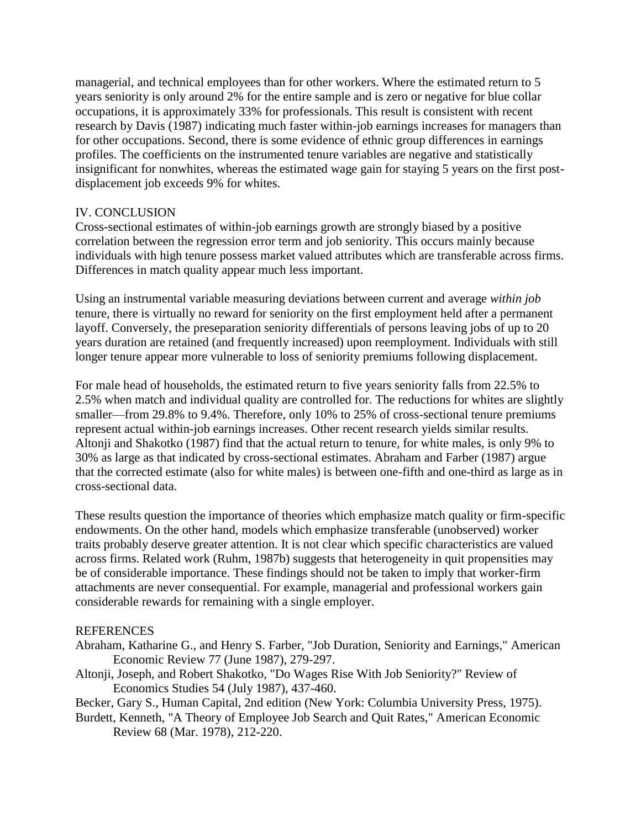managerial, and technical employees than for other workers. Where the estimated return to 5 years seniority is only around 2% for the entire sample and is zero or negative for blue collar occupations, it is approximately 33% for professionals. This result is consistent with recent research by Davis (1987) indicating much faster within-job earnings increases for managers than for other occupations. Second, there is some evidence of ethnic group differences in earnings profiles. The coefficients on the instrumented tenure variables are negative and statistically insignificant for nonwhites, whereas the estimated wage gain for staying 5 years on the first postdisplacement job exceeds 9% for whites.

### IV. CONCLUSION

Cross-sectional estimates of within-job earnings growth are strongly biased by a positive correlation between the regression error term and job seniority. This occurs mainly because individuals with high tenure possess market valued attributes which are transferable across firms. Differences in match quality appear much less important.

Using an instrumental variable measuring deviations between current and average *within job* tenure, there is virtually no reward for seniority on the first employment held after a permanent layoff. Conversely, the preseparation seniority differentials of persons leaving jobs of up to 20 years duration are retained (and frequently increased) upon reemployment. Individuals with still longer tenure appear more vulnerable to loss of seniority premiums following displacement.

For male head of households, the estimated return to five years seniority falls from 22.5% to 2.5% when match and individual quality are controlled for. The reductions for whites are slightly smaller—from 29.8% to 9.4%. Therefore, only 10% to 25% of cross-sectional tenure premiums represent actual within-job earnings increases. Other recent research yields similar results. Altonji and Shakotko (1987) find that the actual return to tenure, for white males, is only 9% to 30% as large as that indicated by cross-sectional estimates. Abraham and Farber (1987) argue that the corrected estimate (also for white males) is between one-fifth and one-third as large as in cross-sectional data.

These results question the importance of theories which emphasize match quality or firm-specific endowments. On the other hand, models which emphasize transferable (unobserved) worker traits probably deserve greater attention. It is not clear which specific characteristics are valued across firms. Related work (Ruhm, 1987b) suggests that heterogeneity in quit propensities may be of considerable importance. These findings should not be taken to imply that worker-firm attachments are never consequential. For example, managerial and professional workers gain considerable rewards for remaining with a single employer.

### **REFERENCES**

- Abraham, Katharine G., and Henry S. Farber, "Job Duration, Seniority and Earnings," American Economic Review 77 (June 1987), 279-297.
- Altonji, Joseph, and Robert Shakotko, "Do Wages Rise With Job Seniority?" Review of Economics Studies 54 (July 1987), 437-460.

Becker, Gary S., Human Capital, 2nd edition (New York: Columbia University Press, 1975).

Burdett, Kenneth, "A Theory of Employee Job Search and Quit Rates," American Economic Review 68 (Mar. 1978), 212-220.